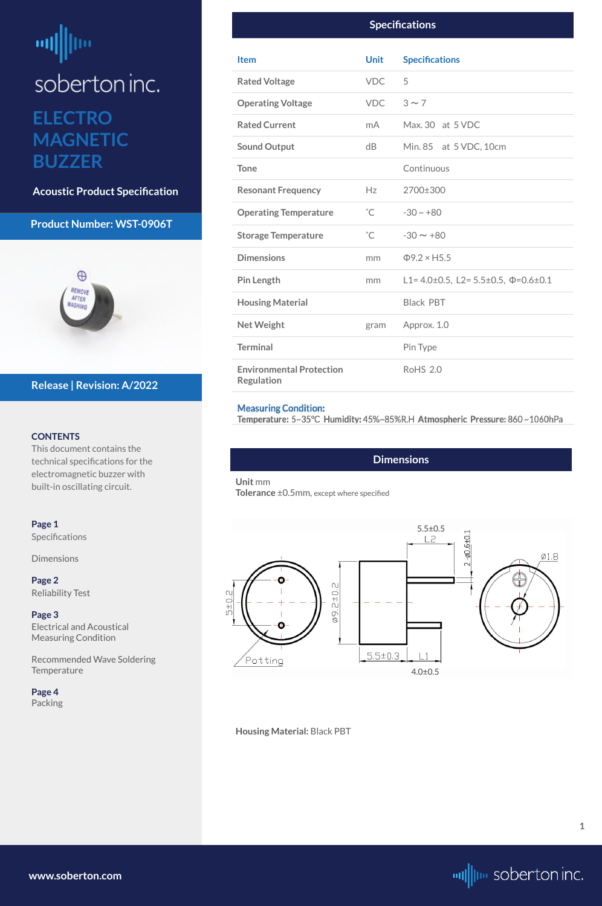# <span id="page-0-0"></span>咖 |llu soberton inc. **ELECTRO MAGNETIC BUZZER**

**Acoustic Product Specification**

### **Product Number: WST-0906T**



#### **CONTENTS**

**Page 1 Specifications** 

**Dimensions** 

This document contains the technical specifications for the electromagnetic buzzer with built-in oscillating circuit.

[Recommended Wave Soldering](#page-2-0)  **[Temperature](#page-2-0)** 

**[Page 2](#page-1-0)** [Reliability Test](#page-1-0)

**[Page 3](#page-2-0)** [Electrical and Acoustical](#page-2-0)  [Measuring Condition](#page-2-0)



# **Release | Revision: A/2022**

**[www.soberton.com](http://www.soberton.com)**



**1**

### **Dimensions**

#### **Unit** mm

**Tolerance** ±0.5mm, except where specified

#### **Housing Material:** Black PBT

| <b>Specifications</b>                                |              |                                                          |  |  |
|------------------------------------------------------|--------------|----------------------------------------------------------|--|--|
| <b>Item</b>                                          | <b>Unit</b>  | <b>Specifications</b>                                    |  |  |
| <b>Rated Voltage</b>                                 | <b>VDC</b>   | 5                                                        |  |  |
| <b>Operating Voltage</b>                             | VDC          | $3 \sim 7$                                               |  |  |
| <b>Rated Current</b>                                 | mA           | Max. 30 at 5 VDC                                         |  |  |
| <b>Sound Output</b>                                  | dB           | Min. 85 at 5 VDC, 10cm                                   |  |  |
| <b>Tone</b>                                          |              | Continuous                                               |  |  |
| <b>Resonant Frequency</b>                            | Hz           | 2700±300                                                 |  |  |
| <b>Operating Temperature</b>                         | $^{\circ}$ C | $-30 \sim +80$                                           |  |  |
| <b>Storage Temperature</b>                           | $^{\circ}$ C | $-30 \sim +80$                                           |  |  |
| <b>Dimensions</b>                                    | mm           | $\Phi$ 9.2 × H5.5                                        |  |  |
| <b>Pin Length</b>                                    | mm           | L1= $4.0\pm0.5$ , L2= $5.5\pm0.5$ , $\Phi$ = $0.6\pm0.1$ |  |  |
| <b>Housing Material</b>                              |              | <b>Black PBT</b>                                         |  |  |
| <b>Net Weight</b>                                    | gram         | Approx. 1.0                                              |  |  |
| <b>Terminal</b>                                      |              | Pin Type                                                 |  |  |
| <b>Environmental Protection</b><br><b>Regulation</b> |              | <b>RoHS 2.0</b>                                          |  |  |

#### **Measuring Condition:**

Temperature: 5~35°C Humidity: 45%~85%R.H Atmospheric Pressure: 860~1060hPa

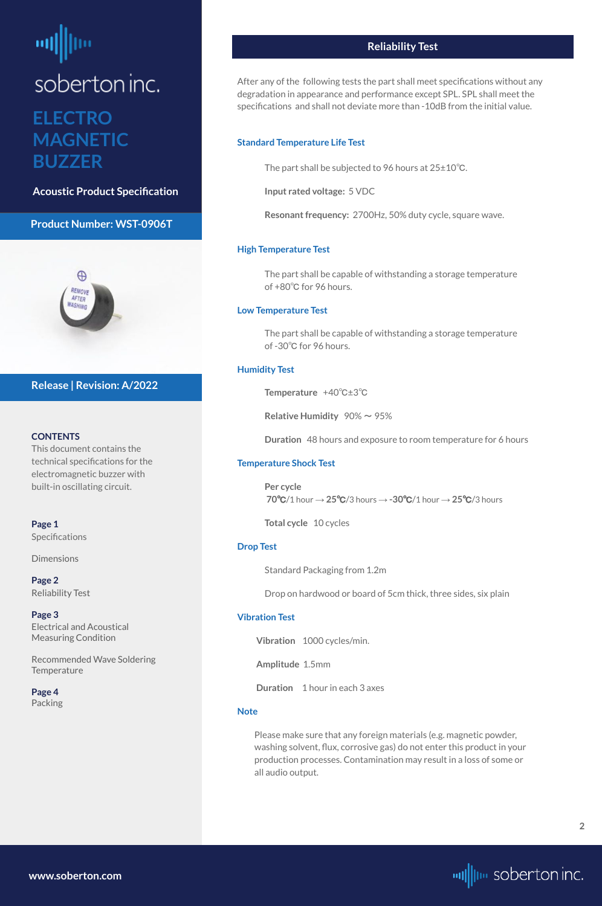# <span id="page-1-0"></span>soberton inc. **ELECTRO MAGNETIC BUZZER**

**Acoustic Product Specification**

# **Product Number: WST-0906T**



#### **CONTENTS**

**[Page 1](#page-0-0) Specifications** 

**[Dimensions](#page-0-0)** 

This document contains the technical specifications for the electromagnetic buzzer with built-in oscillating circuit.

[Recommended Wave Soldering](#page-2-0)  **[Temperature](#page-2-0)** 

**Page 2** Reliability Test

**[Page 3](#page-2-0)** [Electrical and Acoustical](#page-2-0)  [Measuring Condition](#page-2-0)

#### **[Page 4](#page-3-0)** [Packing](#page-3-0)

# **Release | Revision: A/2022**



# **Reliability Test**

After any of the following tests the part shall meet specifications without any degradation in appearance and performance except SPL. SPL shall meet the specifications and shall not deviate more than -10dB from the initial value.

#### **Standard Temperature Life Test**

The part shall be subjected to 96 hours at 25±10℃.

**Input rated voltage:** 5 VDC

**Resonant frequency:** 2700Hz, 50% duty cycle, square wave.

#### **High Temperature Test**

The part shall be capable of withstanding a storage temperature of +80℃ for 96 hours.

#### **Low Temperature Test**

The part shall be capable of withstanding a storage temperature of -30℃ for 96 hours.

#### **Humidity Test**

**Temperature** +40℃±3℃

**Relative Humidity**  $90\% \sim 95\%$ 

**Duration** 48 hours and exposure to room temperature for 6 hours

#### **Temperature Shock Test**

**Per cycle 70**℃/1 hour → **25**℃/3 hours → **-30**℃/1 hour → **25**℃/3 hours

**Total cycle** 10 cycles

#### **Drop Test**

Standard Packaging from 1.2m

Drop on hardwood or board of 5cm thick, three sides, six plain

#### **Vibration Test**

**Vibration** 1000 cycles/min.

**Amplitude** 1.5mm

**Duration** 1 hour in each 3 axes

#### **Note**

Please make sure that any foreign materials (e.g. magnetic powder, washing solvent, flux, corrosive gas) do not enter this product in your production processes. Contamination may result in a loss of some or all audio output.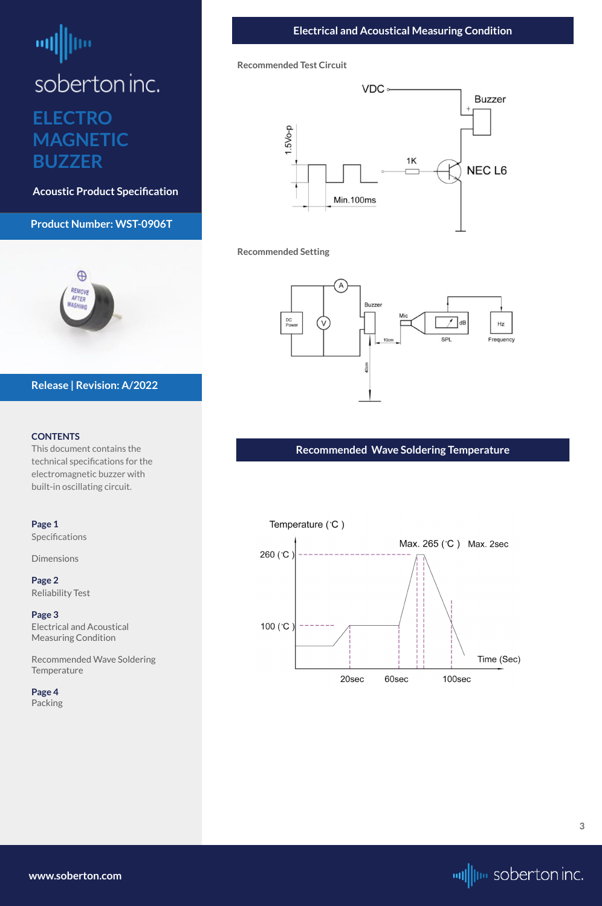# <span id="page-2-0"></span>┉ soberton inc. **ELECTRO MAGNETIC BUZZER**

**Acoustic Product Specification**

# **Product Number: WST-0906T**



#### **CONTENTS**

This document contains the technical specifications for the electromagnetic buzzer with built-in oscillating circuit.

Recommended Wave Soldering **Temperature** 

**[Page 1](#page-0-0)** [Specifications](#page-0-0) 

**[Dimensions](#page-0-0)** 

**[Page 2](#page-1-0)** [Reliability Test](#page-1-0)

**Page 3** Electrical and Acoustical Measuring Condition

#### **[Page 4](#page-3-0)** [Packing](#page-3-0)

# **Release | Revision: A/2022**

**[www.soberton.com](http://www.soberton.com)**



**3**

#### **Recommended Test Circuit**



#### **Recommended Setting**



# **Recommended Wave Soldering Temperature**